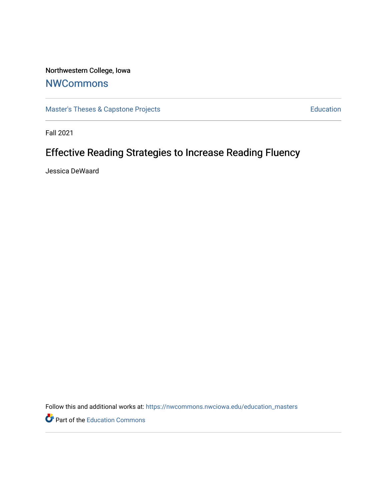Northwestern College, Iowa

# **[NWCommons](https://nwcommons.nwciowa.edu/)**

[Master's Theses & Capstone Projects](https://nwcommons.nwciowa.edu/education_masters) **Education** Education

Fall 2021

# Effective Reading Strategies to Increase Reading Fluency

Jessica DeWaard

Follow this and additional works at: [https://nwcommons.nwciowa.edu/education\\_masters](https://nwcommons.nwciowa.edu/education_masters?utm_source=nwcommons.nwciowa.edu%2Feducation_masters%2F362&utm_medium=PDF&utm_campaign=PDFCoverPages)

**P** Part of the [Education Commons](http://network.bepress.com/hgg/discipline/784?utm_source=nwcommons.nwciowa.edu%2Feducation_masters%2F362&utm_medium=PDF&utm_campaign=PDFCoverPages)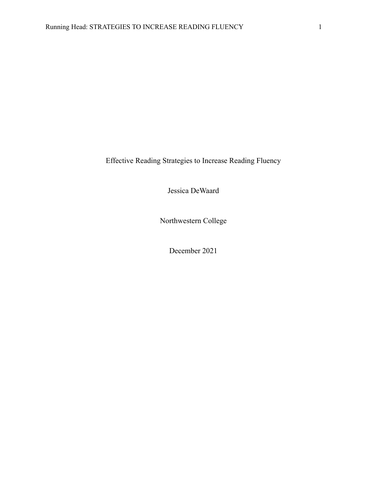Effective Reading Strategies to Increase Reading Fluency

Jessica DeWaard

Northwestern College

December 2021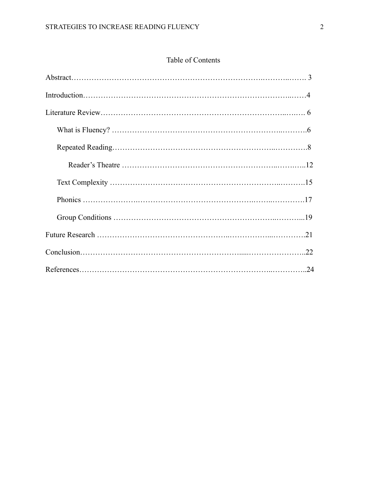# Table of Contents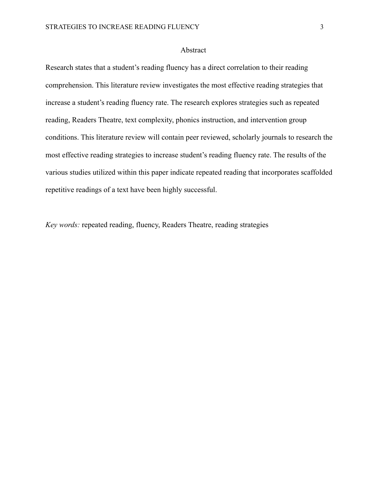# Abstract

Research states that a student's reading fluency has a direct correlation to their reading comprehension. This literature review investigates the most effective reading strategies that increase a student's reading fluency rate. The research explores strategies such as repeated reading, Readers Theatre, text complexity, phonics instruction, and intervention group conditions. This literature review will contain peer reviewed, scholarly journals to research the most effective reading strategies to increase student's reading fluency rate. The results of the various studies utilized within this paper indicate repeated reading that incorporates scaffolded repetitive readings of a text have been highly successful.

*Key words:* repeated reading, fluency, Readers Theatre, reading strategies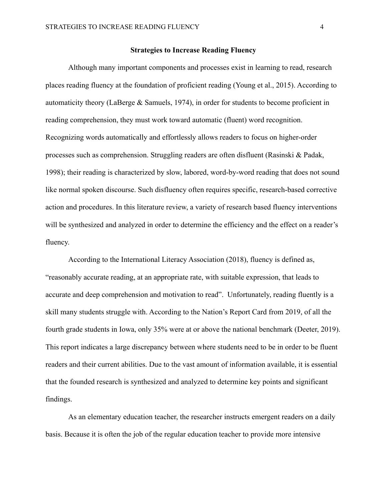#### **Strategies to Increase Reading Fluency**

Although many important components and processes exist in learning to read, research places reading fluency at the foundation of proficient reading (Young et al., 2015). According to automaticity theory (LaBerge & Samuels, 1974), in order for students to become proficient in reading comprehension, they must work toward automatic (fluent) word recognition. Recognizing words automatically and effortlessly allows readers to focus on higher-order processes such as comprehension. Struggling readers are often disfluent (Rasinski & Padak, 1998); their reading is characterized by slow, labored, word-by-word reading that does not sound like normal spoken discourse. Such disfluency often requires specific, research-based corrective action and procedures. In this literature review, a variety of research based fluency interventions will be synthesized and analyzed in order to determine the efficiency and the effect on a reader's fluency.

According to the International Literacy Association (2018), fluency is defined as, "reasonably accurate reading, at an appropriate rate, with suitable expression, that leads to accurate and deep comprehension and motivation to read". Unfortunately, reading fluently is a skill many students struggle with. According to the Nation's Report Card from 2019, of all the fourth grade students in Iowa, only 35% were at or above the national benchmark (Deeter, 2019). This report indicates a large discrepancy between where students need to be in order to be fluent readers and their current abilities. Due to the vast amount of information available, it is essential that the founded research is synthesized and analyzed to determine key points and significant findings.

As an elementary education teacher, the researcher instructs emergent readers on a daily basis. Because it is often the job of the regular education teacher to provide more intensive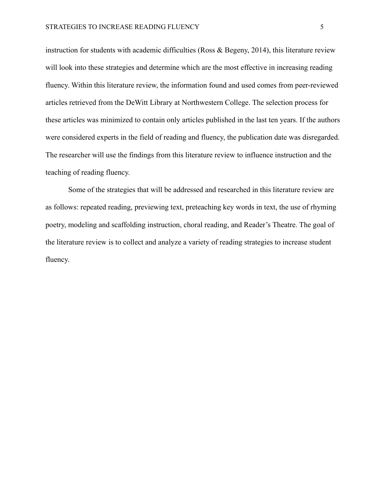instruction for students with academic difficulties (Ross & Begeny, 2014), this literature review will look into these strategies and determine which are the most effective in increasing reading fluency. Within this literature review, the information found and used comes from peer-reviewed articles retrieved from the DeWitt Library at Northwestern College. The selection process for these articles was minimized to contain only articles published in the last ten years. If the authors were considered experts in the field of reading and fluency, the publication date was disregarded. The researcher will use the findings from this literature review to influence instruction and the teaching of reading fluency.

Some of the strategies that will be addressed and researched in this literature review are as follows: repeated reading, previewing text, preteaching key words in text, the use of rhyming poetry, modeling and scaffolding instruction, choral reading, and Reader's Theatre. The goal of the literature review is to collect and analyze a variety of reading strategies to increase student fluency.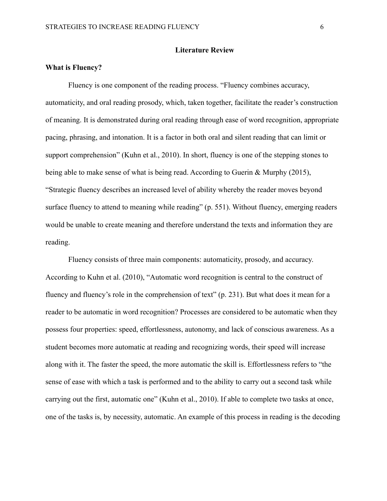#### **Literature Review**

# **What is Fluency?**

Fluency is one component of the reading process. "Fluency combines accuracy, automaticity, and oral reading prosody, which, taken together, facilitate the reader's construction of meaning. It is demonstrated during oral reading through ease of word recognition, appropriate pacing, phrasing, and intonation. It is a factor in both oral and silent reading that can limit or support comprehension" (Kuhn et al., 2010). In short, fluency is one of the stepping stones to being able to make sense of what is being read. According to Guerin & Murphy (2015), "Strategic fluency describes an increased level of ability whereby the reader moves beyond surface fluency to attend to meaning while reading" (p. 551). Without fluency, emerging readers would be unable to create meaning and therefore understand the texts and information they are reading.

Fluency consists of three main components: automaticity, prosody, and accuracy. According to Kuhn et al. (2010), "Automatic word recognition is central to the construct of fluency and fluency's role in the comprehension of text" (p. 231). But what does it mean for a reader to be automatic in word recognition? Processes are considered to be automatic when they possess four properties: speed, effortlessness, autonomy, and lack of conscious awareness. As a student becomes more automatic at reading and recognizing words, their speed will increase along with it. The faster the speed, the more automatic the skill is. Effortlessness refers to "the sense of ease with which a task is performed and to the ability to carry out a second task while carrying out the first, automatic one" (Kuhn et al., 2010). If able to complete two tasks at once, one of the tasks is, by necessity, automatic. An example of this process in reading is the decoding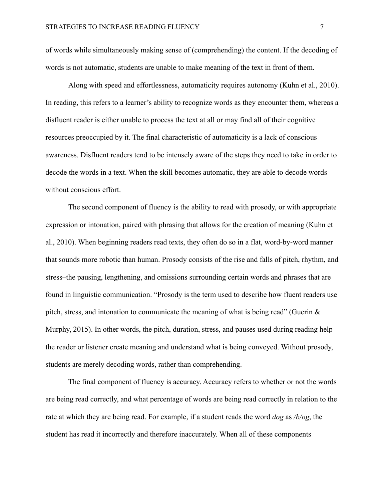of words while simultaneously making sense of (comprehending) the content. If the decoding of words is not automatic, students are unable to make meaning of the text in front of them.

Along with speed and effortlessness, automaticity requires autonomy (Kuhn et al., 2010). In reading, this refers to a learner's ability to recognize words as they encounter them, whereas a disfluent reader is either unable to process the text at all or may find all of their cognitive resources preoccupied by it. The final characteristic of automaticity is a lack of conscious awareness. Disfluent readers tend to be intensely aware of the steps they need to take in order to decode the words in a text. When the skill becomes automatic, they are able to decode words without conscious effort.

The second component of fluency is the ability to read with prosody, or with appropriate expression or intonation, paired with phrasing that allows for the creation of meaning (Kuhn et al., 2010). When beginning readers read texts, they often do so in a flat, word-by-word manner that sounds more robotic than human. Prosody consists of the rise and falls of pitch, rhythm, and stress–the pausing, lengthening, and omissions surrounding certain words and phrases that are found in linguistic communication. "Prosody is the term used to describe how fluent readers use pitch, stress, and intonation to communicate the meaning of what is being read" (Guerin  $\&$ Murphy, 2015). In other words, the pitch, duration, stress, and pauses used during reading help the reader or listener create meaning and understand what is being conveyed. Without prosody, students are merely decoding words, rather than comprehending.

The final component of fluency is accuracy. Accuracy refers to whether or not the words are being read correctly, and what percentage of words are being read correctly in relation to the rate at which they are being read. For example, if a student reads the word *dog* as */b/og*, the student has read it incorrectly and therefore inaccurately. When all of these components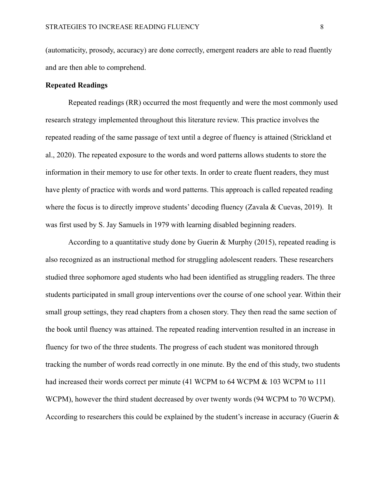(automaticity, prosody, accuracy) are done correctly, emergent readers are able to read fluently and are then able to comprehend.

### **Repeated Readings**

Repeated readings (RR) occurred the most frequently and were the most commonly used research strategy implemented throughout this literature review. This practice involves the repeated reading of the same passage of text until a degree of fluency is attained (Strickland et al., 2020). The repeated exposure to the words and word patterns allows students to store the information in their memory to use for other texts. In order to create fluent readers, they must have plenty of practice with words and word patterns. This approach is called repeated reading where the focus is to directly improve students' decoding fluency (Zavala & Cuevas, 2019). It was first used by S. Jay Samuels in 1979 with learning disabled beginning readers.

According to a quantitative study done by Guerin & Murphy (2015), repeated reading is also recognized as an instructional method for struggling adolescent readers. These researchers studied three sophomore aged students who had been identified as struggling readers. The three students participated in small group interventions over the course of one school year. Within their small group settings, they read chapters from a chosen story. They then read the same section of the book until fluency was attained. The repeated reading intervention resulted in an increase in fluency for two of the three students. The progress of each student was monitored through tracking the number of words read correctly in one minute. By the end of this study, two students had increased their words correct per minute (41 WCPM to 64 WCPM & 103 WCPM to 111 WCPM), however the third student decreased by over twenty words (94 WCPM to 70 WCPM). According to researchers this could be explained by the student's increase in accuracy (Guerin  $\&$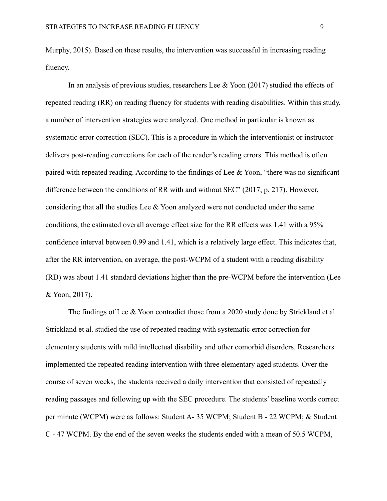Murphy, 2015). Based on these results, the intervention was successful in increasing reading fluency.

In an analysis of previous studies, researchers Lee  $\&$  Yoon (2017) studied the effects of repeated reading (RR) on reading fluency for students with reading disabilities. Within this study, a number of intervention strategies were analyzed. One method in particular is known as systematic error correction (SEC). This is a procedure in which the interventionist or instructor delivers post-reading corrections for each of the reader's reading errors. This method is often paired with repeated reading. According to the findings of Lee & Yoon, "there was no significant difference between the conditions of RR with and without SEC" (2017, p. 217). However, considering that all the studies Lee & Yoon analyzed were not conducted under the same conditions, the estimated overall average effect size for the RR effects was 1.41 with a 95% confidence interval between 0.99 and 1.41, which is a relatively large effect. This indicates that, after the RR intervention, on average, the post-WCPM of a student with a reading disability (RD) was about 1.41 standard deviations higher than the pre-WCPM before the intervention (Lee & Yoon, 2017).

The findings of Lee & Yoon contradict those from a 2020 study done by Strickland et al. Strickland et al. studied the use of repeated reading with systematic error correction for elementary students with mild intellectual disability and other comorbid disorders. Researchers implemented the repeated reading intervention with three elementary aged students. Over the course of seven weeks, the students received a daily intervention that consisted of repeatedly reading passages and following up with the SEC procedure. The students' baseline words correct per minute (WCPM) were as follows: Student A- 35 WCPM; Student B - 22 WCPM; & Student C - 47 WCPM. By the end of the seven weeks the students ended with a mean of 50.5 WCPM,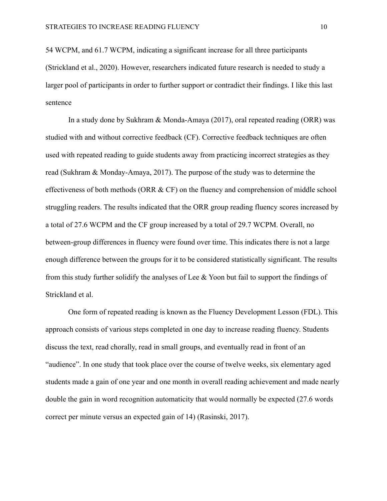54 WCPM, and 61.7 WCPM, indicating a significant increase for all three participants (Strickland et al., 2020). However, researchers indicated future research is needed to study a larger pool of participants in order to further support or contradict their findings. I like this last sentence

In a study done by Sukhram & Monda-Amaya (2017), oral repeated reading (ORR) was studied with and without corrective feedback (CF). Corrective feedback techniques are often used with repeated reading to guide students away from practicing incorrect strategies as they read (Sukhram & Monday-Amaya, 2017). The purpose of the study was to determine the effectiveness of both methods (ORR & CF) on the fluency and comprehension of middle school struggling readers. The results indicated that the ORR group reading fluency scores increased by a total of 27.6 WCPM and the CF group increased by a total of 29.7 WCPM. Overall, no between-group differences in fluency were found over time. This indicates there is not a large enough difference between the groups for it to be considered statistically significant. The results from this study further solidify the analyses of Lee  $&$  Yoon but fail to support the findings of Strickland et al.

One form of repeated reading is known as the Fluency Development Lesson (FDL). This approach consists of various steps completed in one day to increase reading fluency. Students discuss the text, read chorally, read in small groups, and eventually read in front of an "audience". In one study that took place over the course of twelve weeks, six elementary aged students made a gain of one year and one month in overall reading achievement and made nearly double the gain in word recognition automaticity that would normally be expected (27.6 words correct per minute versus an expected gain of 14) (Rasinski, 2017).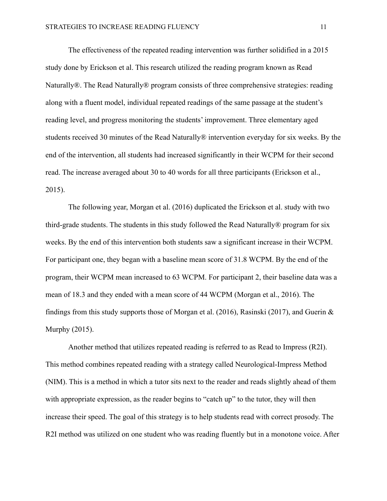The effectiveness of the repeated reading intervention was further solidified in a 2015 study done by Erickson et al. This research utilized the reading program known as Read Naturally®. The Read Naturally® program consists of three comprehensive strategies: reading along with a fluent model, individual repeated readings of the same passage at the student's reading level, and progress monitoring the students' improvement. Three elementary aged students received 30 minutes of the Read Naturally® intervention everyday for six weeks. By the end of the intervention, all students had increased significantly in their WCPM for their second read. The increase averaged about 30 to 40 words for all three participants (Erickson et al., 2015).

The following year, Morgan et al. (2016) duplicated the Erickson et al. study with two third-grade students. The students in this study followed the Read Naturally® program for six weeks. By the end of this intervention both students saw a significant increase in their WCPM. For participant one, they began with a baseline mean score of 31.8 WCPM. By the end of the program, their WCPM mean increased to 63 WCPM. For participant 2, their baseline data was a mean of 18.3 and they ended with a mean score of 44 WCPM (Morgan et al., 2016). The findings from this study supports those of Morgan et al. (2016), Rasinski (2017), and Guerin  $\&$ Murphy (2015).

Another method that utilizes repeated reading is referred to as Read to Impress (R2I). This method combines repeated reading with a strategy called Neurological-Impress Method (NIM). This is a method in which a tutor sits next to the reader and reads slightly ahead of them with appropriate expression, as the reader begins to "catch up" to the tutor, they will then increase their speed. The goal of this strategy is to help students read with correct prosody. The R2I method was utilized on one student who was reading fluently but in a monotone voice. After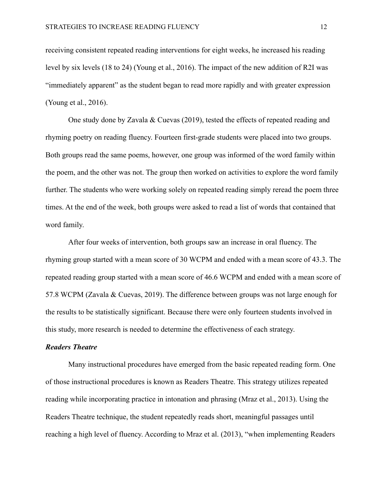receiving consistent repeated reading interventions for eight weeks, he increased his reading level by six levels (18 to 24) (Young et al., 2016). The impact of the new addition of R2I was "immediately apparent" as the student began to read more rapidly and with greater expression (Young et al., 2016).

One study done by Zavala & Cuevas (2019), tested the effects of repeated reading and rhyming poetry on reading fluency. Fourteen first-grade students were placed into two groups. Both groups read the same poems, however, one group was informed of the word family within the poem, and the other was not. The group then worked on activities to explore the word family further. The students who were working solely on repeated reading simply reread the poem three times. At the end of the week, both groups were asked to read a list of words that contained that word family.

After four weeks of intervention, both groups saw an increase in oral fluency. The rhyming group started with a mean score of 30 WCPM and ended with a mean score of 43.3. The repeated reading group started with a mean score of 46.6 WCPM and ended with a mean score of 57.8 WCPM (Zavala & Cuevas, 2019). The difference between groups was not large enough for the results to be statistically significant. Because there were only fourteen students involved in this study, more research is needed to determine the effectiveness of each strategy.

#### *Readers Theatre*

Many instructional procedures have emerged from the basic repeated reading form. One of those instructional procedures is known as Readers Theatre. This strategy utilizes repeated reading while incorporating practice in intonation and phrasing (Mraz et al., 2013). Using the Readers Theatre technique, the student repeatedly reads short, meaningful passages until reaching a high level of fluency. According to Mraz et al. (2013), "when implementing Readers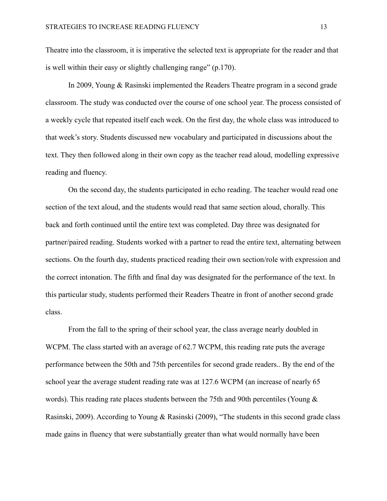Theatre into the classroom, it is imperative the selected text is appropriate for the reader and that is well within their easy or slightly challenging range" (p.170).

In 2009, Young & Rasinski implemented the Readers Theatre program in a second grade classroom. The study was conducted over the course of one school year. The process consisted of a weekly cycle that repeated itself each week. On the first day, the whole class was introduced to that week's story. Students discussed new vocabulary and participated in discussions about the text. They then followed along in their own copy as the teacher read aloud, modelling expressive reading and fluency.

On the second day, the students participated in echo reading. The teacher would read one section of the text aloud, and the students would read that same section aloud, chorally. This back and forth continued until the entire text was completed. Day three was designated for partner/paired reading. Students worked with a partner to read the entire text, alternating between sections. On the fourth day, students practiced reading their own section/role with expression and the correct intonation. The fifth and final day was designated for the performance of the text. In this particular study, students performed their Readers Theatre in front of another second grade class.

From the fall to the spring of their school year, the class average nearly doubled in WCPM. The class started with an average of 62.7 WCPM, this reading rate puts the average performance between the 50th and 75th percentiles for second grade readers.. By the end of the school year the average student reading rate was at 127.6 WCPM (an increase of nearly 65 words). This reading rate places students between the 75th and 90th percentiles (Young  $\&$ Rasinski, 2009). According to Young & Rasinski (2009), "The students in this second grade class made gains in fluency that were substantially greater than what would normally have been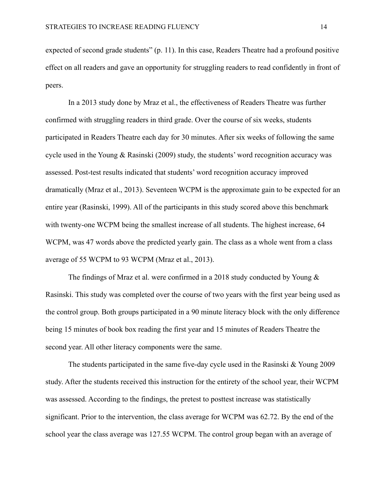expected of second grade students" (p. 11). In this case, Readers Theatre had a profound positive effect on all readers and gave an opportunity for struggling readers to read confidently in front of peers.

In a 2013 study done by Mraz et al., the effectiveness of Readers Theatre was further confirmed with struggling readers in third grade. Over the course of six weeks, students participated in Readers Theatre each day for 30 minutes. After six weeks of following the same cycle used in the Young & Rasinski (2009) study, the students' word recognition accuracy was assessed. Post-test results indicated that students' word recognition accuracy improved dramatically (Mraz et al., 2013). Seventeen WCPM is the approximate gain to be expected for an entire year (Rasinski, 1999). All of the participants in this study scored above this benchmark with twenty-one WCPM being the smallest increase of all students. The highest increase, 64 WCPM, was 47 words above the predicted yearly gain. The class as a whole went from a class average of 55 WCPM to 93 WCPM (Mraz et al., 2013).

The findings of Mraz et al. were confirmed in a 2018 study conducted by Young  $\&$ Rasinski. This study was completed over the course of two years with the first year being used as the control group. Both groups participated in a 90 minute literacy block with the only difference being 15 minutes of book box reading the first year and 15 minutes of Readers Theatre the second year. All other literacy components were the same.

The students participated in the same five-day cycle used in the Rasinski & Young 2009 study. After the students received this instruction for the entirety of the school year, their WCPM was assessed. According to the findings, the pretest to posttest increase was statistically significant. Prior to the intervention, the class average for WCPM was 62.72. By the end of the school year the class average was 127.55 WCPM. The control group began with an average of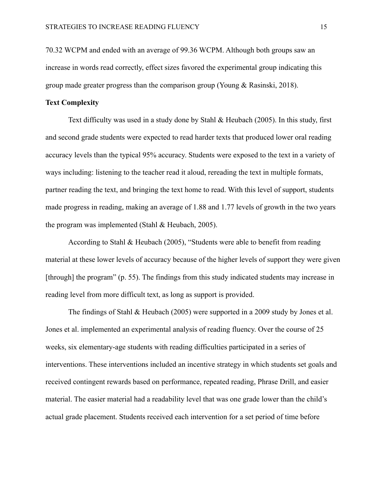70.32 WCPM and ended with an average of 99.36 WCPM. Although both groups saw an increase in words read correctly, effect sizes favored the experimental group indicating this group made greater progress than the comparison group (Young & Rasinski, 2018).

## **Text Complexity**

Text difficulty was used in a study done by Stahl & Heubach (2005). In this study, first and second grade students were expected to read harder texts that produced lower oral reading accuracy levels than the typical 95% accuracy. Students were exposed to the text in a variety of ways including: listening to the teacher read it aloud, rereading the text in multiple formats, partner reading the text, and bringing the text home to read. With this level of support, students made progress in reading, making an average of 1.88 and 1.77 levels of growth in the two years the program was implemented (Stahl & Heubach, 2005).

According to Stahl & Heubach (2005), "Students were able to benefit from reading material at these lower levels of accuracy because of the higher levels of support they were given [through] the program" (p. 55). The findings from this study indicated students may increase in reading level from more difficult text, as long as support is provided.

The findings of Stahl & Heubach (2005) were supported in a 2009 study by Jones et al. Jones et al. implemented an experimental analysis of reading fluency. Over the course of 25 weeks, six elementary-age students with reading difficulties participated in a series of interventions. These interventions included an incentive strategy in which students set goals and received contingent rewards based on performance, repeated reading, Phrase Drill, and easier material. The easier material had a readability level that was one grade lower than the child's actual grade placement. Students received each intervention for a set period of time before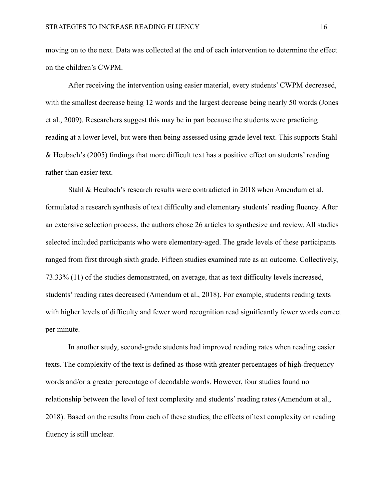moving on to the next. Data was collected at the end of each intervention to determine the effect on the children's CWPM.

After receiving the intervention using easier material, every students' CWPM decreased, with the smallest decrease being 12 words and the largest decrease being nearly 50 words (Jones et al., 2009). Researchers suggest this may be in part because the students were practicing reading at a lower level, but were then being assessed using grade level text. This supports Stahl & Heubach's (2005) findings that more difficult text has a positive effect on students' reading rather than easier text.

Stahl & Heubach's research results were contradicted in 2018 when Amendum et al. formulated a research synthesis of text difficulty and elementary students' reading fluency. After an extensive selection process, the authors chose 26 articles to synthesize and review. All studies selected included participants who were elementary-aged. The grade levels of these participants ranged from first through sixth grade. Fifteen studies examined rate as an outcome. Collectively, 73.33% (11) of the studies demonstrated, on average, that as text difficulty levels increased, students' reading rates decreased (Amendum et al., 2018). For example, students reading texts with higher levels of difficulty and fewer word recognition read significantly fewer words correct per minute.

In another study, second-grade students had improved reading rates when reading easier texts. The complexity of the text is defined as those with greater percentages of high-frequency words and/or a greater percentage of decodable words. However, four studies found no relationship between the level of text complexity and students' reading rates (Amendum et al., 2018). Based on the results from each of these studies, the effects of text complexity on reading fluency is still unclear.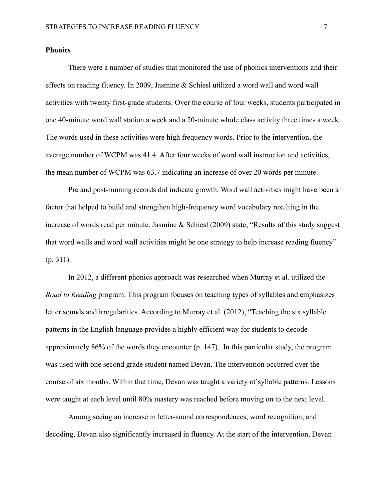# **Phonics**

There were a number of studies that monitored the use of phonics interventions and their effects on reading fluency. In 2009, Jasmine & Schiesl utilized a word wall and word wall activities with twenty first-grade students. Over the course of four weeks, students participated in one 40-minute word wall station a week and a 20-minute whole class activity three times a week. The words used in these activities were high frequency words. Prior to the intervention, the average number of WCPM was 41.4. After four weeks of word wall instruction and activities, the mean number of WCPM was 63.7 indicating an increase of over 20 words per minute.

Pre and post-running records did indicate growth. Word wall activities might have been a factor that helped to build and strengthen high-frequency word vocabulary resulting in the increase of words read per minute. Jasmine & Schiesl (2009) state, "Results of this study suggest that word walls and word wall activities might be one strategy to help increase reading fluency" (p. 311).

In 2012, a different phonics approach was researched when Murray et al. utilized the *Road to Reading* program. This program focuses on teaching types of syllables and emphasizes letter sounds and irregularities. According to Murray et al. (2012), "Teaching the six syllable patterns in the English language provides a highly efficient way for students to decode approximately 86% of the words they encounter (p. 147). In this particular study, the program was used with one second grade student named Devan. The intervention occurred over the course of six months. Within that time, Devan was taught a variety of syllable patterns. Lessons were taught at each level until 80% mastery was reached before moving on to the next level.

Among seeing an increase in letter-sound correspondences, word recognition, and decoding, Devan also significantly increased in fluency. At the start of the intervention, Devan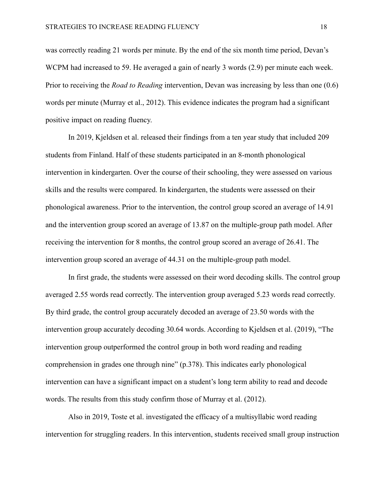was correctly reading 21 words per minute. By the end of the six month time period, Devan's WCPM had increased to 59. He averaged a gain of nearly 3 words (2.9) per minute each week. Prior to receiving the *Road to Reading* intervention, Devan was increasing by less than one (0.6) words per minute (Murray et al., 2012). This evidence indicates the program had a significant positive impact on reading fluency.

In 2019, Kjeldsen et al. released their findings from a ten year study that included 209 students from Finland. Half of these students participated in an 8-month phonological intervention in kindergarten. Over the course of their schooling, they were assessed on various skills and the results were compared. In kindergarten, the students were assessed on their phonological awareness. Prior to the intervention, the control group scored an average of 14.91 and the intervention group scored an average of 13.87 on the multiple-group path model. After receiving the intervention for 8 months, the control group scored an average of 26.41. The intervention group scored an average of 44.31 on the multiple-group path model.

In first grade, the students were assessed on their word decoding skills. The control group averaged 2.55 words read correctly. The intervention group averaged 5.23 words read correctly. By third grade, the control group accurately decoded an average of 23.50 words with the intervention group accurately decoding 30.64 words. According to Kjeldsen et al. (2019), "The intervention group outperformed the control group in both word reading and reading comprehension in grades one through nine" (p.378). This indicates early phonological intervention can have a significant impact on a student's long term ability to read and decode words. The results from this study confirm those of Murray et al. (2012).

Also in 2019, Toste et al. investigated the efficacy of a multisyllabic word reading intervention for struggling readers. In this intervention, students received small group instruction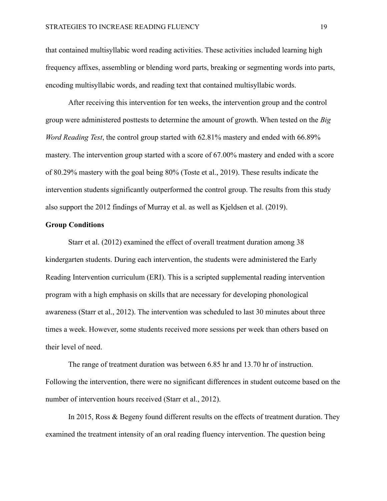that contained multisyllabic word reading activities. These activities included learning high frequency affixes, assembling or blending word parts, breaking or segmenting words into parts, encoding multisyllabic words, and reading text that contained multisyllabic words.

After receiving this intervention for ten weeks, the intervention group and the control group were administered posttests to determine the amount of growth. When tested on the *Big Word Reading Test*, the control group started with 62.81% mastery and ended with 66.89% mastery. The intervention group started with a score of 67.00% mastery and ended with a score of 80.29% mastery with the goal being 80% (Toste et al., 2019). These results indicate the intervention students significantly outperformed the control group. The results from this study also support the 2012 findings of Murray et al. as well as Kjeldsen et al. (2019).

#### **Group Conditions**

Starr et al. (2012) examined the effect of overall treatment duration among 38 kindergarten students. During each intervention, the students were administered the Early Reading Intervention curriculum (ERI). This is a scripted supplemental reading intervention program with a high emphasis on skills that are necessary for developing phonological awareness (Starr et al., 2012). The intervention was scheduled to last 30 minutes about three times a week. However, some students received more sessions per week than others based on their level of need.

The range of treatment duration was between 6.85 hr and 13.70 hr of instruction. Following the intervention, there were no significant differences in student outcome based on the number of intervention hours received (Starr et al., 2012).

In 2015, Ross & Begeny found different results on the effects of treatment duration. They examined the treatment intensity of an oral reading fluency intervention. The question being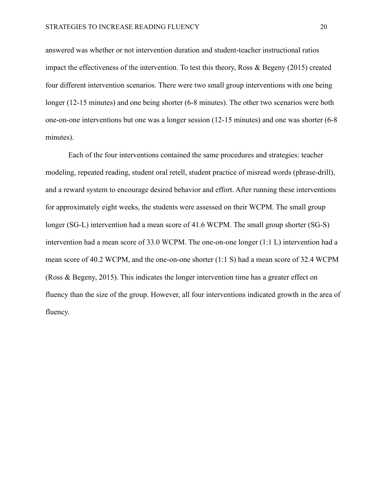answered was whether or not intervention duration and student-teacher instructional ratios impact the effectiveness of the intervention. To test this theory, Ross & Begeny (2015) created four different intervention scenarios. There were two small group interventions with one being longer (12-15 minutes) and one being shorter (6-8 minutes). The other two scenarios were both one-on-one interventions but one was a longer session (12-15 minutes) and one was shorter (6-8 minutes).

Each of the four interventions contained the same procedures and strategies: teacher modeling, repeated reading, student oral retell, student practice of misread words (phrase-drill), and a reward system to encourage desired behavior and effort. After running these interventions for approximately eight weeks, the students were assessed on their WCPM. The small group longer (SG-L) intervention had a mean score of 41.6 WCPM. The small group shorter (SG-S) intervention had a mean score of 33.0 WCPM. The one-on-one longer (1:1 L) intervention had a mean score of 40.2 WCPM, and the one-on-one shorter (1:1 S) had a mean score of 32.4 WCPM (Ross & Begeny, 2015). This indicates the longer intervention time has a greater effect on fluency than the size of the group. However, all four interventions indicated growth in the area of fluency.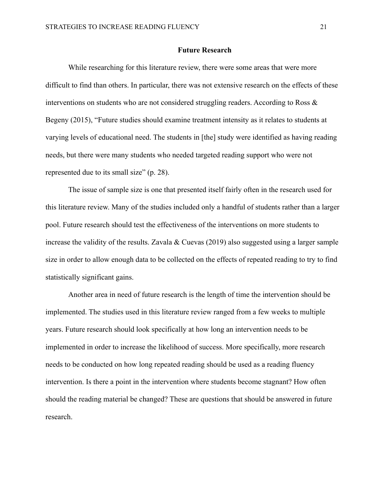#### **Future Research**

While researching for this literature review, there were some areas that were more difficult to find than others. In particular, there was not extensive research on the effects of these interventions on students who are not considered struggling readers. According to Ross & Begeny (2015), "Future studies should examine treatment intensity as it relates to students at varying levels of educational need. The students in [the] study were identified as having reading needs, but there were many students who needed targeted reading support who were not represented due to its small size" (p. 28).

The issue of sample size is one that presented itself fairly often in the research used for this literature review. Many of the studies included only a handful of students rather than a larger pool. Future research should test the effectiveness of the interventions on more students to increase the validity of the results. Zavala & Cuevas (2019) also suggested using a larger sample size in order to allow enough data to be collected on the effects of repeated reading to try to find statistically significant gains.

Another area in need of future research is the length of time the intervention should be implemented. The studies used in this literature review ranged from a few weeks to multiple years. Future research should look specifically at how long an intervention needs to be implemented in order to increase the likelihood of success. More specifically, more research needs to be conducted on how long repeated reading should be used as a reading fluency intervention. Is there a point in the intervention where students become stagnant? How often should the reading material be changed? These are questions that should be answered in future research.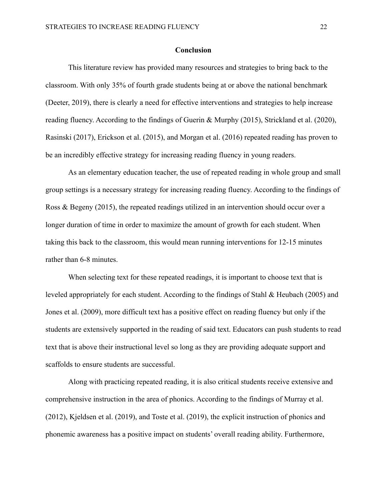#### **Conclusion**

This literature review has provided many resources and strategies to bring back to the classroom. With only 35% of fourth grade students being at or above the national benchmark (Deeter, 2019), there is clearly a need for effective interventions and strategies to help increase reading fluency. According to the findings of Guerin & Murphy (2015), Strickland et al. (2020), Rasinski (2017), Erickson et al. (2015), and Morgan et al. (2016) repeated reading has proven to be an incredibly effective strategy for increasing reading fluency in young readers.

As an elementary education teacher, the use of repeated reading in whole group and small group settings is a necessary strategy for increasing reading fluency. According to the findings of Ross & Begeny (2015), the repeated readings utilized in an intervention should occur over a longer duration of time in order to maximize the amount of growth for each student. When taking this back to the classroom, this would mean running interventions for 12-15 minutes rather than 6-8 minutes.

When selecting text for these repeated readings, it is important to choose text that is leveled appropriately for each student. According to the findings of Stahl & Heubach (2005) and Jones et al. (2009), more difficult text has a positive effect on reading fluency but only if the students are extensively supported in the reading of said text. Educators can push students to read text that is above their instructional level so long as they are providing adequate support and scaffolds to ensure students are successful.

Along with practicing repeated reading, it is also critical students receive extensive and comprehensive instruction in the area of phonics. According to the findings of Murray et al. (2012), Kjeldsen et al. (2019), and Toste et al. (2019), the explicit instruction of phonics and phonemic awareness has a positive impact on students' overall reading ability. Furthermore,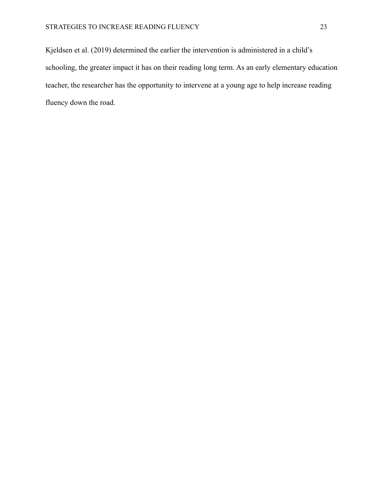Kjeldsen et al. (2019) determined the earlier the intervention is administered in a child's schooling, the greater impact it has on their reading long term. As an early elementary education teacher, the researcher has the opportunity to intervene at a young age to help increase reading fluency down the road.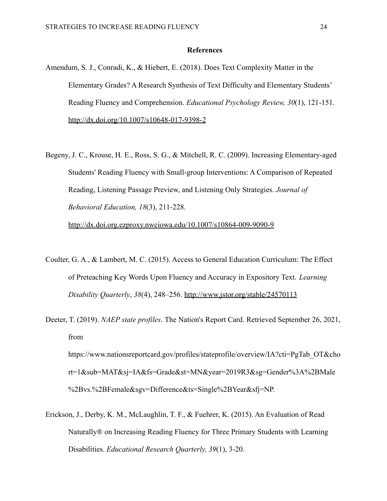#### **References**

- Amendum, S. J., Conradi, K., & Hiebert, E. (2018). Does Text Complexity Matter in the Elementary Grades? A Research Synthesis of Text Difficulty and Elementary Students' Reading Fluency and Comprehension. *Educational Psychology Review, 30*(1), 121-151. <http://dx.doi.org/10.1007/s10648-017-9398-2>
- Begeny, J. C., Krouse, H. E., Ross, S. G., & Mitchell, R. C. (2009). Increasing Elementary-aged Students' Reading Fluency with Small-group Interventions: A Comparison of Repeated Reading, Listening Passage Preview, and Listening Only Strategies. *Journal of Behavioral Education, 18*(3), 211-228.

<http://dx.doi.org.ezproxy.nwciowa.edu/10.1007/s10864-009-9090-9>

- Coulter, G. A., & Lambert, M. C. (2015). Access to General Education Curriculum: The Effect of Preteaching Key Words Upon Fluency and Accuracy in Expository Text. *Learning Disability Quarterly*, *38*(4), 248–256. <http://www.jstor.org/stable/24570113>
- Deeter, T. (2019). *NAEP state profiles*. The Nation's Report Card. Retrieved September 26, 2021, from https://www.nationsreportcard.gov/profiles/stateprofile/overview/IA?cti=PgTab\_OT&cho

rt=1&sub=MAT&sj=IA&fs=Grade&st=MN&year=2019R3&sg=Gender%3A%2BMale %2Bvs.%2BFemale&sgv=Difference&ts=Single%2BYear&sfj=NP.

Erickson, J., Derby, K. M., McLaughlin, T. F., & Fuehrer, K. (2015). An Evaluation of Read Naturally® on Increasing Reading Fluency for Three Primary Students with Learning Disabilities. *Educational Research Quarterly, 39*(1), 3-20.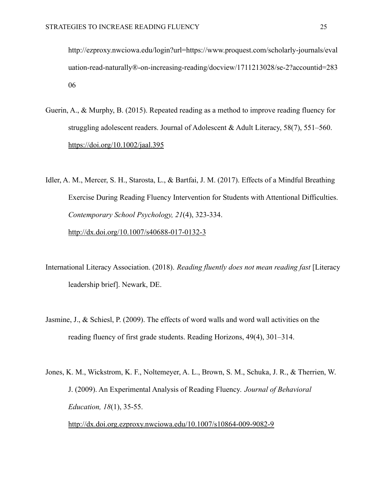http://ezproxy.nwciowa.edu/login?url=https://www.proquest.com/scholarly-journals/eval uation-read-naturally®-on-increasing-reading/docview/1711213028/se-2?accountid=283 06

Guerin, A., & Murphy, B. (2015). Repeated reading as a method to improve reading fluency for struggling adolescent readers. Journal of Adolescent & Adult Literacy, 58(7), 551–560. <https://doi.org/10.1002/jaal.395>

Idler, A. M., Mercer, S. H., Starosta, L., & Bartfai, J. M. (2017). Effects of a Mindful Breathing Exercise During Reading Fluency Intervention for Students with Attentional Difficulties. *Contemporary School Psychology, 21*(4), 323-334. <http://dx.doi.org/10.1007/s40688-017-0132-3>

- International Literacy Association. (2018). *Reading fluently does not mean reading fast* [Literacy leadership brief]. Newark, DE.
- Jasmine, J., & Schiesl, P. (2009). The effects of word walls and word wall activities on the reading fluency of first grade students. Reading Horizons, 49(4), 301–314.
- Jones, K. M., Wickstrom, K. F., Noltemeyer, A. L., Brown, S. M., Schuka, J. R., & Therrien, W. J. (2009). An Experimental Analysis of Reading Fluency. *Journal of Behavioral Education, 18*(1), 35-55. <http://dx.doi.org.ezproxy.nwciowa.edu/10.1007/s10864-009-9082-9>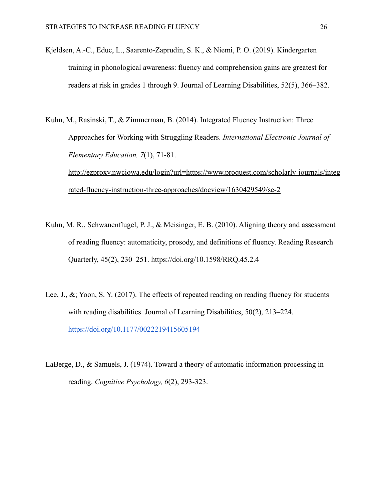- Kjeldsen, A.-C., Educ, L., Saarento-Zaprudin, S. K., & Niemi, P. O. (2019). Kindergarten training in phonological awareness: fluency and comprehension gains are greatest for readers at risk in grades 1 through 9. Journal of Learning Disabilities, 52(5), 366–382.
- Kuhn, M., Rasinski, T., & Zimmerman, B. (2014). Integrated Fluency Instruction: Three Approaches for Working with Struggling Readers. *International Electronic Journal of Elementary Education, 7*(1), 71-81. [http://ezproxy.nwciowa.edu/login?url=https://www.proquest.com/scholarly-journals/integ](http://ezproxy.nwciowa.edu/login?url=https://www.proquest.com/scholarly-journals/integrated-fluency-instruction-three-approaches/docview/1630429549/se-2) [rated-fluency-instruction-three-approaches/docview/1630429549/se-2](http://ezproxy.nwciowa.edu/login?url=https://www.proquest.com/scholarly-journals/integrated-fluency-instruction-three-approaches/docview/1630429549/se-2)
- Kuhn, M. R., Schwanenflugel, P. J., & Meisinger, E. B. (2010). Aligning theory and assessment of reading fluency: automaticity, prosody, and definitions of fluency. Reading Research Quarterly, 45(2), 230–251. https://doi.org/10.1598/RRQ.45.2.4
- Lee, J., &; Yoon, S. Y. (2017). The effects of repeated reading on reading fluency for students with reading disabilities. Journal of Learning Disabilities, 50(2), 213–224. <https://doi.org/10.1177/0022219415605194>
- LaBerge, D., & Samuels, J. (1974). Toward a theory of automatic information processing in reading. *Cognitive Psychology, 6*(2), 293-323.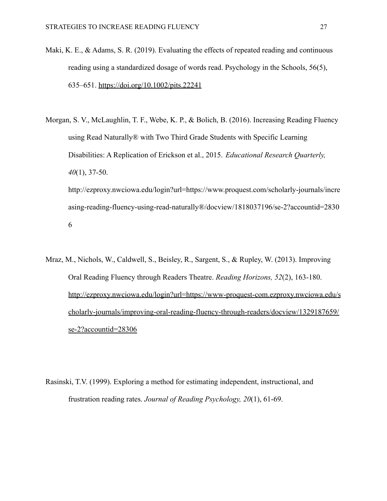- Maki, K. E., & Adams, S. R. (2019). Evaluating the effects of repeated reading and continuous reading using a standardized dosage of words read. Psychology in the Schools, 56(5), 635–651. <https://doi.org/10.1002/pits.22241>
- Morgan, S. V., McLaughlin, T. F., Webe, K. P., & Bolich, B. (2016). Increasing Reading Fluency using Read Naturally® with Two Third Grade Students with Specific Learning Disabilities: A Replication of Erickson et al., 2015. *Educational Research Quarterly, 40*(1), 37-50. http://ezproxy.nwciowa.edu/login?url=https://www.proquest.com/scholarly-journals/incre asing-reading-fluency-using-read-naturally®/docview/1818037196/se-2?accountid=2830 6
- Mraz, M., Nichols, W., Caldwell, S., Beisley, R., Sargent, S., & Rupley, W. (2013). Improving Oral Reading Fluency through Readers Theatre. *Reading Horizons, 52*(2), 163-180. [http://ezproxy.nwciowa.edu/login?url=https://www-proquest-com.ezproxy.nwciowa.edu/s](http://ezproxy.nwciowa.edu/login?url=https://www-proquest-com.ezproxy.nwciowa.edu/scholarly-journals/improving-oral-reading-fluency-through-readers/docview/1329187659/se-2?accountid=28306) [cholarly-journals/improving-oral-reading-fluency-through-readers/docview/1329187659/](http://ezproxy.nwciowa.edu/login?url=https://www-proquest-com.ezproxy.nwciowa.edu/scholarly-journals/improving-oral-reading-fluency-through-readers/docview/1329187659/se-2?accountid=28306) [se-2?accountid=28306](http://ezproxy.nwciowa.edu/login?url=https://www-proquest-com.ezproxy.nwciowa.edu/scholarly-journals/improving-oral-reading-fluency-through-readers/docview/1329187659/se-2?accountid=28306)
- Rasinski, T.V. (1999). Exploring a method for estimating independent, instructional, and frustration reading rates. *Journal of Reading Psychology, 20*(1), 61-69.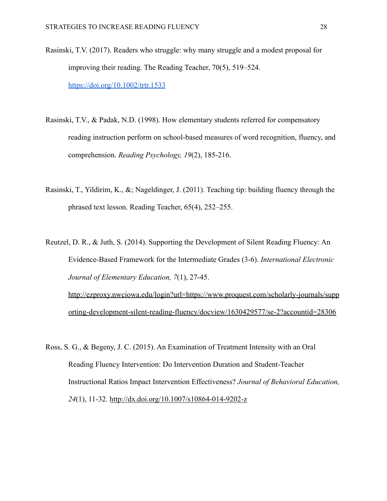- Rasinski, T.V. (2017). Readers who struggle: why many struggle and a modest proposal for improving their reading. The Reading Teacher, 70(5), 519–524. <https://doi.org/10.1002/trtr.1533>
- Rasinski, T.V., & Padak, N.D. (1998). How elementary students referred for compensatory reading instruction perform on school-based measures of word recognition, fluency, and comprehension. *Reading Psychology, 19*(2), 185-216.
- Rasinski, T., Yildirim, K., &; Nageldinger, J. (2011). Teaching tip: building fluency through the phrased text lesson. Reading Teacher, 65(4), 252–255.
- Reutzel, D. R., & Juth, S. (2014). Supporting the Development of Silent Reading Fluency: An Evidence-Based Framework for the Intermediate Grades (3-6). *International Electronic Journal of Elementary Education, 7*(1), 27-45. [http://ezproxy.nwciowa.edu/login?url=https://www.proquest.com/scholarly-journals/supp](http://ezproxy.nwciowa.edu/login?url=https://www.proquest.com/scholarly-journals/supporting-development-silent-reading-fluency/docview/1630429577/se-2?accountid=28306) [orting-development-silent-reading-fluency/docview/1630429577/se-2?accountid=28306](http://ezproxy.nwciowa.edu/login?url=https://www.proquest.com/scholarly-journals/supporting-development-silent-reading-fluency/docview/1630429577/se-2?accountid=28306)
- Ross, S. G., & Begeny, J. C. (2015). An Examination of Treatment Intensity with an Oral Reading Fluency Intervention: Do Intervention Duration and Student-Teacher Instructional Ratios Impact Intervention Effectiveness? *Journal of Behavioral Education, 24*(1), 11-32. <http://dx.doi.org/10.1007/s10864-014-9202-z>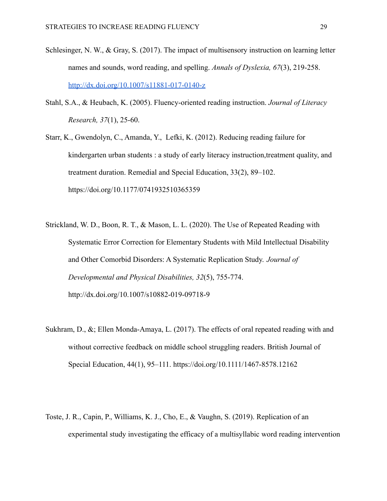- Schlesinger, N. W., & Gray, S. (2017). The impact of multisensory instruction on learning letter names and sounds, word reading, and spelling. *Annals of Dyslexia, 67*(3), 219-258. <http://dx.doi.org/10.1007/s11881-017-0140-z>
- Stahl, S.A., & Heubach, K. (2005). Fluency-oriented reading instruction. *Journal of Literacy Research, 37*(1), 25-60.
- Starr, K., Gwendolyn, C., Amanda, Y., Lefki, K. (2012). Reducing reading failure for kindergarten urban students : a study of early literacy instruction,treatment quality, and treatment duration. Remedial and Special Education, 33(2), 89–102. https://doi.org/10.1177/0741932510365359
- Strickland, W. D., Boon, R. T., & Mason, L. L. (2020). The Use of Repeated Reading with Systematic Error Correction for Elementary Students with Mild Intellectual Disability and Other Comorbid Disorders: A Systematic Replication Study. *Journal of Developmental and Physical Disabilities, 32*(5), 755-774. http://dx.doi.org/10.1007/s10882-019-09718-9
- Sukhram, D., &; Ellen Monda-Amaya, L. (2017). The effects of oral repeated reading with and without corrective feedback on middle school struggling readers. British Journal of Special Education, 44(1), 95–111. https://doi.org/10.1111/1467-8578.12162
- Toste, J. R., Capin, P., Williams, K. J., Cho, E., & Vaughn, S. (2019). Replication of an experimental study investigating the efficacy of a multisyllabic word reading intervention